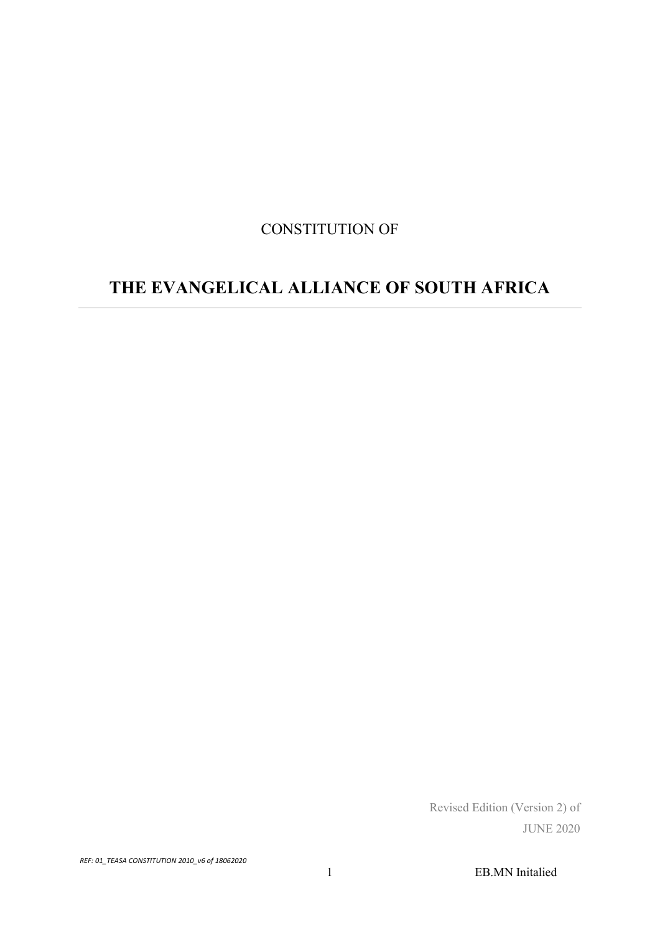# CONSTITUTION OF

# THE EVANGELICAL ALLIANCE OF SOUTH AFRICA

 Revised Edition (Version 2) of JUNE 2020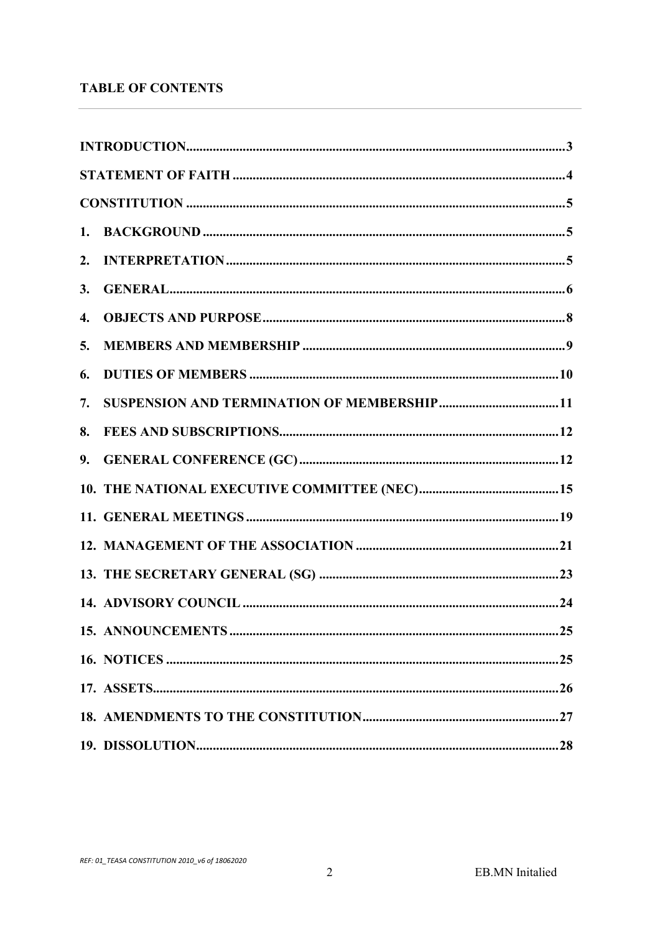# **TABLE OF CONTENTS**

| 3. |  |
|----|--|
| 4. |  |
| 5. |  |
| 6. |  |
| 7. |  |
| 8. |  |
| 9. |  |
|    |  |
|    |  |
|    |  |
|    |  |
|    |  |
|    |  |
|    |  |
|    |  |
|    |  |
|    |  |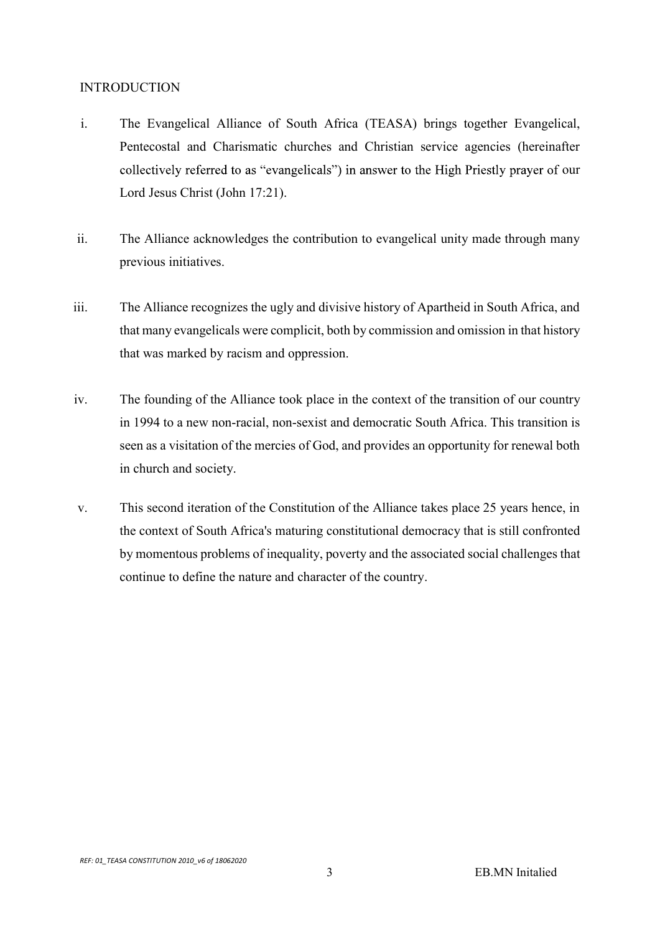#### INTRODUCTION

- i. The Evangelical Alliance of South Africa (TEASA) brings together Evangelical, Pentecostal and Charismatic churches and Christian service agencies (hereinafter collectively referred to as "evangelicals") in answer to the High Priestly prayer of our Lord Jesus Christ (John 17:21).
- ii. The Alliance acknowledges the contribution to evangelical unity made through many previous initiatives.
- iii. The Alliance recognizes the ugly and divisive history of Apartheid in South Africa, and that many evangelicals were complicit, both by commission and omission in that history that was marked by racism and oppression.
- iv. The founding of the Alliance took place in the context of the transition of our country in 1994 to a new non-racial, non-sexist and democratic South Africa. This transition is seen as a visitation of the mercies of God, and provides an opportunity for renewal both in church and society.
- v. This second iteration of the Constitution of the Alliance takes place 25 years hence, in the context of South Africa's maturing constitutional democracy that is still confronted by momentous problems of inequality, poverty and the associated social challenges that continue to define the nature and character of the country.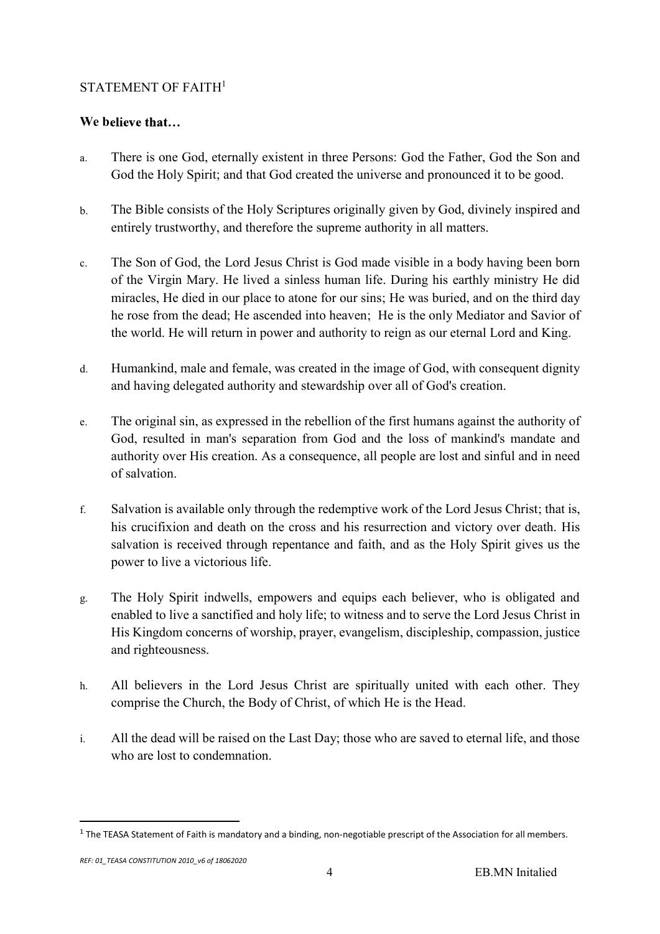## STATEMENT OF FAITH<sup>1</sup>

# We believe that...

- a. There is one God, eternally existent in three Persons: God the Father, God the Son and God the Holy Spirit; and that God created the universe and pronounced it to be good.
- b. The Bible consists of the Holy Scriptures originally given by God, divinely inspired and entirely trustworthy, and therefore the supreme authority in all matters.
- c. The Son of God, the Lord Jesus Christ is God made visible in a body having been born of the Virgin Mary. He lived a sinless human life. During his earthly ministry He did miracles, He died in our place to atone for our sins; He was buried, and on the third day he rose from the dead; He ascended into heaven; He is the only Mediator and Savior of the world. He will return in power and authority to reign as our eternal Lord and King.
- d. Humankind, male and female, was created in the image of God, with consequent dignity and having delegated authority and stewardship over all of God's creation.
- e. The original sin, as expressed in the rebellion of the first humans against the authority of God, resulted in man's separation from God and the loss of mankind's mandate and authority over His creation. As a consequence, all people are lost and sinful and in need of salvation.
- f. Salvation is available only through the redemptive work of the Lord Jesus Christ; that is, his crucifixion and death on the cross and his resurrection and victory over death. His salvation is received through repentance and faith, and as the Holy Spirit gives us the power to live a victorious life.
- g. The Holy Spirit indwells, empowers and equips each believer, who is obligated and enabled to live a sanctified and holy life; to witness and to serve the Lord Jesus Christ in His Kingdom concerns of worship, prayer, evangelism, discipleship, compassion, justice and righteousness.
- h. All believers in the Lord Jesus Christ are spiritually united with each other. They comprise the Church, the Body of Christ, of which He is the Head.
- i. All the dead will be raised on the Last Day; those who are saved to eternal life, and those who are lost to condemnation.

 <sup>1</sup> The TEASA Statement of Faith is mandatory and a binding, non-negotiable prescript of the Association for all members.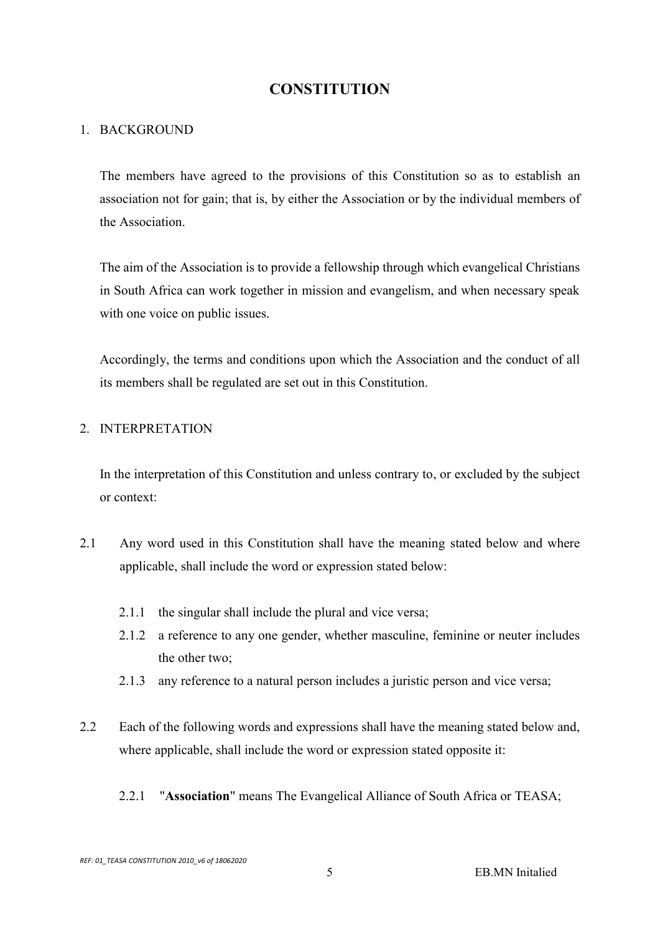# **CONSTITUTION**

#### 1. BACKGROUND

The members have agreed to the provisions of this Constitution so as to establish an association not for gain; that is, by either the Association or by the individual members of the Association.

The aim of the Association is to provide a fellowship through which evangelical Christians in South Africa can work together in mission and evangelism, and when necessary speak with one voice on public issues.

Accordingly, the terms and conditions upon which the Association and the conduct of all its members shall be regulated are set out in this Constitution.

## 2. INTERPRETATION

In the interpretation of this Constitution and unless contrary to, or excluded by the subject or context:

- 2.1 Any word used in this Constitution shall have the meaning stated below and where applicable, shall include the word or expression stated below:
	- 2.1.1 the singular shall include the plural and vice versa;
	- 2.1.2 a reference to any one gender, whether masculine, feminine or neuter includes the other two;
	- 2.1.3 any reference to a natural person includes a juristic person and vice versa;
- 2.2 Each of the following words and expressions shall have the meaning stated below and, where applicable, shall include the word or expression stated opposite it:
	- 2.2.1 "Association" means The Evangelical Alliance of South Africa or TEASA;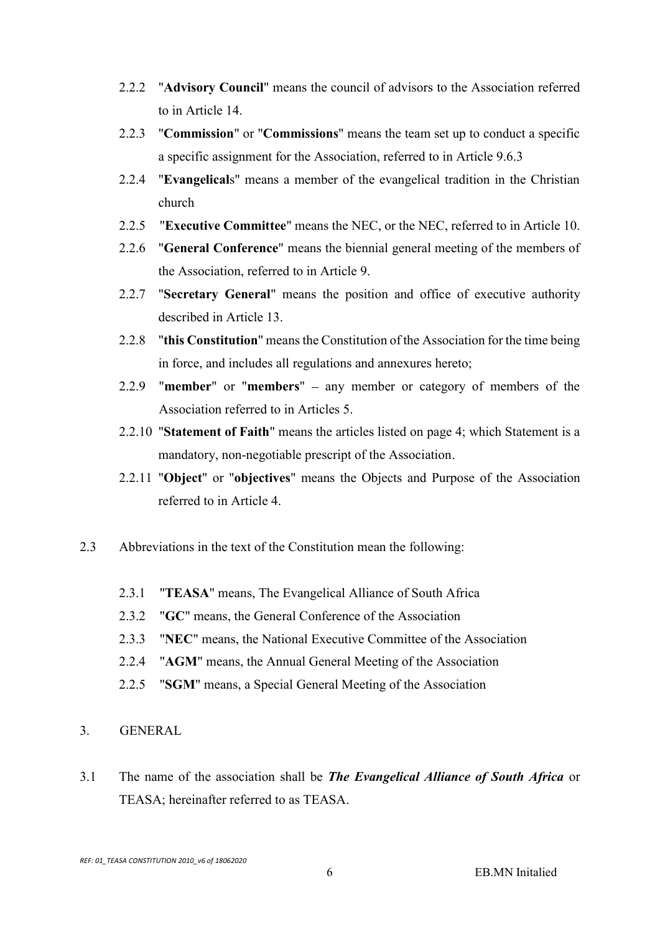- 2.2.2 "Advisory Council" means the council of advisors to the Association referred to in Article 14.
- 2.2.3 "Commission" or "Commissions" means the team set up to conduct a specific a specific assignment for the Association, referred to in Article 9.6.3
- 2.2.4 "Evangelicals" means a member of the evangelical tradition in the Christian church
- 2.2.5 "Executive Committee" means the NEC, or the NEC, referred to in Article 10.
- 2.2.6 "General Conference" means the biennial general meeting of the members of the Association, referred to in Article 9.
- 2.2.7 "Secretary General" means the position and office of executive authority described in Article 13.
- 2.2.8 "this Constitution" means the Constitution of the Association for the time being in force, and includes all regulations and annexures hereto;
- 2.2.9 "member" or "members"  $-$  any member or category of members of the Association referred to in Articles 5.
- 2.2.10 "Statement of Faith" means the articles listed on page 4; which Statement is a mandatory, non-negotiable prescript of the Association.
- 2.2.11 "Object" or "objectives" means the Objects and Purpose of the Association referred to in Article 4.
- 2.3 Abbreviations in the text of the Constitution mean the following:
	- 2.3.1 "TEASA" means, The Evangelical Alliance of South Africa
	- 2.3.2 "GC" means, the General Conference of the Association
	- 2.3.3 "NEC" means, the National Executive Committee of the Association
	- 2.2.4 "AGM" means, the Annual General Meeting of the Association
	- 2.2.5 "SGM" means, a Special General Meeting of the Association
- 3. GENERAL
- 3.1 The name of the association shall be The Evangelical Alliance of South Africa or TEASA; hereinafter referred to as TEASA.

REF: 01\_TEASA CONSTITUTION 2010\_v6 of 18062020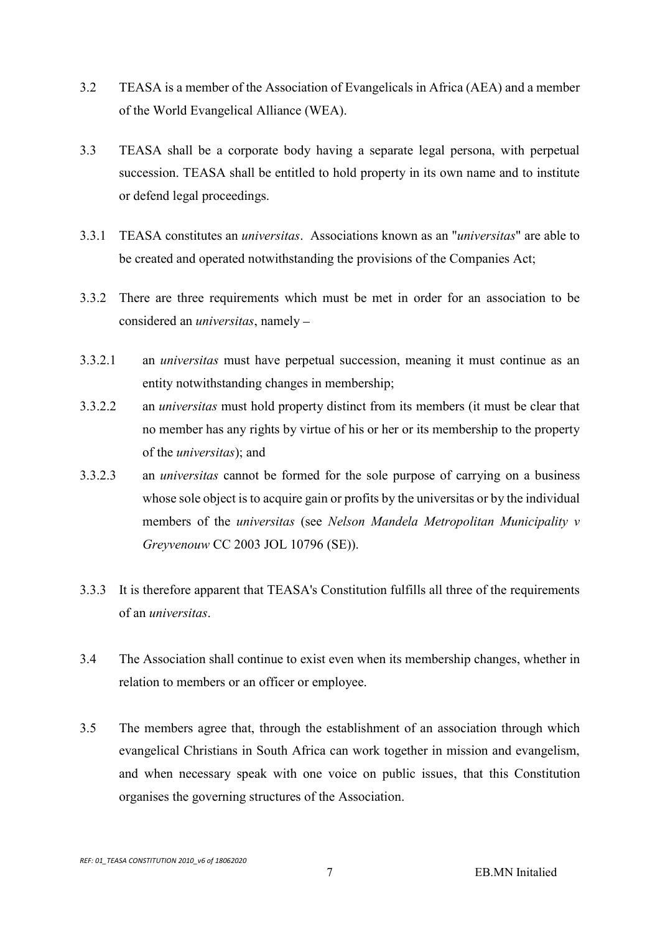- 3.2 TEASA is a member of the Association of Evangelicals in Africa (AEA) and a member of the World Evangelical Alliance (WEA).
- 3.3 TEASA shall be a corporate body having a separate legal persona, with perpetual succession. TEASA shall be entitled to hold property in its own name and to institute or defend legal proceedings.
- 3.3.1 TEASA constitutes an universitas. Associations known as an "universitas" are able to be created and operated notwithstanding the provisions of the Companies Act;
- 3.3.2 There are three requirements which must be met in order for an association to be considered an *universitas*, namely –<br>3.3.2.1 an *universitas* must have perpetual succession, meaning it must continue as an
- entity notwithstanding changes in membership;
- 3.3.2.2 an universitas must hold property distinct from its members (it must be clear that no member has any rights by virtue of his or her or its membership to the property of the universitas); and
- 3.3.2.3 an universitas cannot be formed for the sole purpose of carrying on a business whose sole object is to acquire gain or profits by the universitas or by the individual members of the universitas (see Nelson Mandela Metropolitan Municipality v Greyvenouw CC 2003 JOL 10796 (SE)).
- 3.3.3 It is therefore apparent that TEASA's Constitution fulfills all three of the requirements of an *universitas*.<br>3.4 The Association shall continue to exist even when its membership changes, whether in
- relation to members or an officer or employee.
- 3.5 The members agree that, through the establishment of an association through which evangelical Christians in South Africa can work together in mission and evangelism, and when necessary speak with one voice on public issues, that this Constitution organises the governing structures of the Association.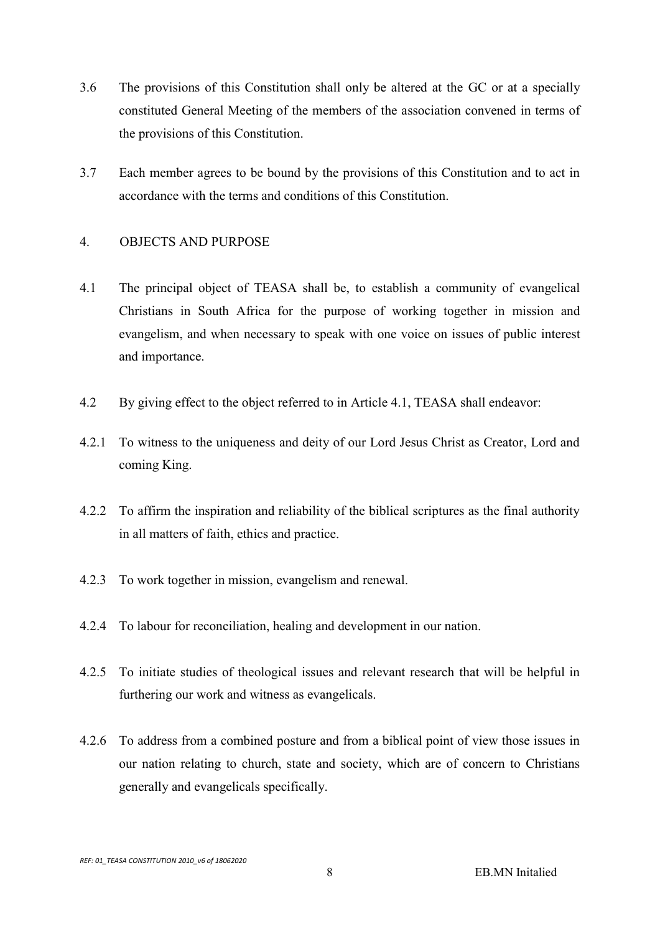- 3.6 The provisions of this Constitution shall only be altered at the GC or at a specially constituted General Meeting of the members of the association convened in terms of the provisions of this Constitution.
- 3.7 Each member agrees to be bound by the provisions of this Constitution and to act in accordance with the terms and conditions of this Constitution.

#### 4. OBJECTS AND PURPOSE

- 4.1 The principal object of TEASA shall be, to establish a community of evangelical Christians in South Africa for the purpose of working together in mission and evangelism, and when necessary to speak with one voice on issues of public interest and importance.
- 4.2 By giving effect to the object referred to in Article 4.1, TEASA shall endeavor:
- 4.2.1 To witness to the uniqueness and deity of our Lord Jesus Christ as Creator, Lord and coming King.
- 4.2.2 To affirm the inspiration and reliability of the biblical scriptures as the final authority in all matters of faith, ethics and practice.
- 4.2.3 To work together in mission, evangelism and renewal.
- 4.2.4 To labour for reconciliation, healing and development in our nation.
- 4.2.5 To initiate studies of theological issues and relevant research that will be helpful in furthering our work and witness as evangelicals.
- 4.2.6 To address from a combined posture and from a biblical point of view those issues in our nation relating to church, state and society, which are of concern to Christians generally and evangelicals specifically.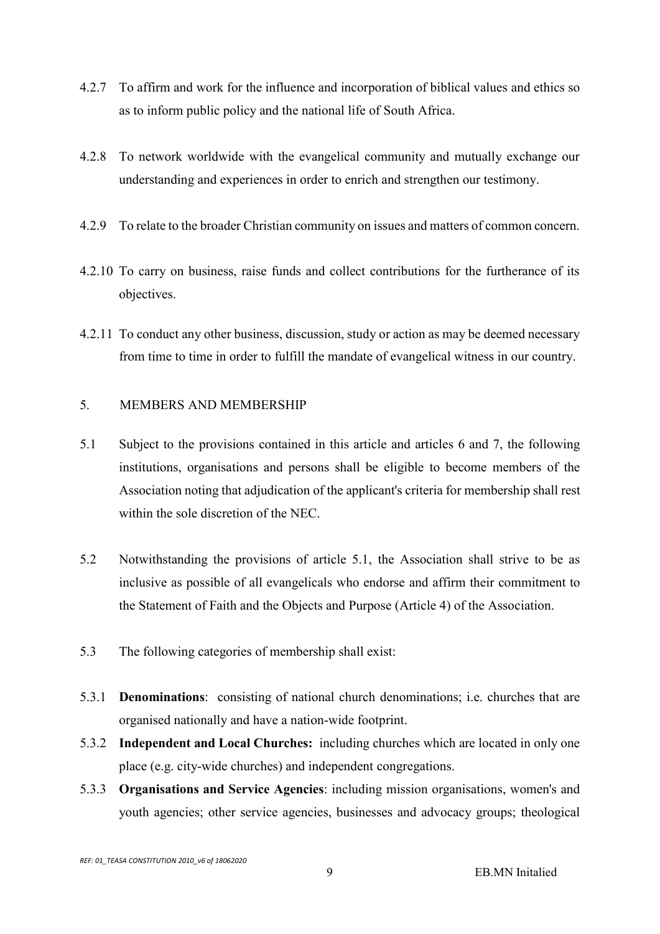- 4.2.7 To affirm and work for the influence and incorporation of biblical values and ethics so as to inform public policy and the national life of South Africa.
- 4.2.8 To network worldwide with the evangelical community and mutually exchange our understanding and experiences in order to enrich and strengthen our testimony.
- 4.2.9 To relate to the broader Christian community on issues and matters of common concern.
- 4.2.10 To carry on business, raise funds and collect contributions for the furtherance of its objectives.
- 4.2.11 To conduct any other business, discussion, study or action as may be deemed necessary from time to time in order to fulfill the mandate of evangelical witness in our country.

## 5. MEMBERS AND MEMBERSHIP

- 5.1 Subject to the provisions contained in this article and articles 6 and 7, the following institutions, organisations and persons shall be eligible to become members of the Association noting that adjudication of the applicant's criteria for membership shall rest within the sole discretion of the NEC.
- 5.2 Notwithstanding the provisions of article 5.1, the Association shall strive to be as inclusive as possible of all evangelicals who endorse and affirm their commitment to the Statement of Faith and the Objects and Purpose (Article 4) of the Association.
- 5.3 The following categories of membership shall exist:
- 5.3.1 Denominations: consisting of national church denominations; i.e. churches that are organised nationally and have a nation-wide footprint.
- 5.3.2 Independent and Local Churches: including churches which are located in only one place (e.g. city-wide churches) and independent congregations.
- 5.3.3 Organisations and Service Agencies: including mission organisations, women's and youth agencies; other service agencies, businesses and advocacy groups; theological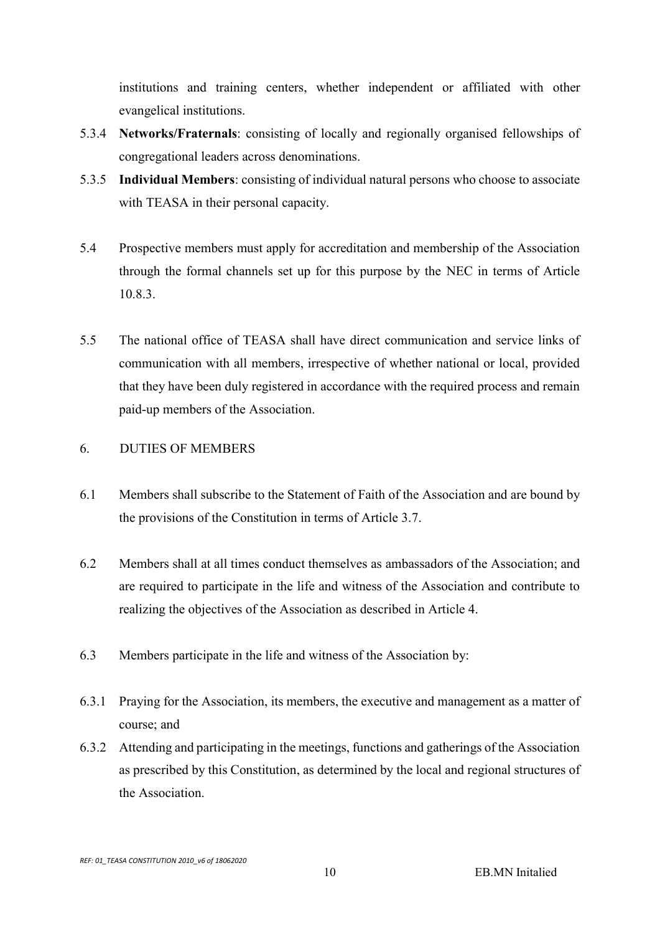institutions and training centers, whether independent or affiliated with other evangelical institutions.

- 5.3.4 Networks/Fraternals: consisting of locally and regionally organised fellowships of congregational leaders across denominations.
- 5.3.5 Individual Members: consisting of individual natural persons who choose to associate with TEASA in their personal capacity.
- 5.4 Prospective members must apply for accreditation and membership of the Association through the formal channels set up for this purpose by the NEC in terms of Article 10.8.3.
- 5.5 The national office of TEASA shall have direct communication and service links of communication with all members, irrespective of whether national or local, provided that they have been duly registered in accordance with the required process and remain paid-up members of the Association.

# 6. DUTIES OF MEMBERS

- 6.1 Members shall subscribe to the Statement of Faith of the Association and are bound by the provisions of the Constitution in terms of Article 3.7.
- 6.2 Members shall at all times conduct themselves as ambassadors of the Association; and are required to participate in the life and witness of the Association and contribute to realizing the objectives of the Association as described in Article 4.
- 6.3 Members participate in the life and witness of the Association by:
- 6.3.1 Praying for the Association, its members, the executive and management as a matter of course; and
- 6.3.2 Attending and participating in the meetings, functions and gatherings of the Association as prescribed by this Constitution, as determined by the local and regional structures of the Association.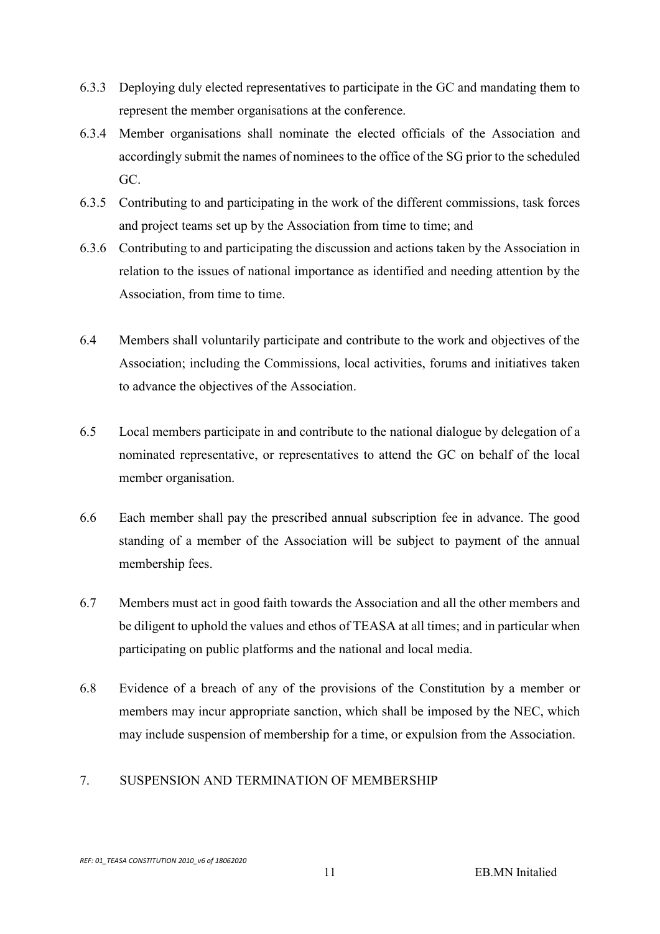- 6.3.3 Deploying duly elected representatives to participate in the GC and mandating them to represent the member organisations at the conference.
- 6.3.4 Member organisations shall nominate the elected officials of the Association and accordingly submit the names of nominees to the office of the SG prior to the scheduled GC.
- 6.3.5 Contributing to and participating in the work of the different commissions, task forces and project teams set up by the Association from time to time; and
- 6.3.6 Contributing to and participating the discussion and actions taken by the Association in relation to the issues of national importance as identified and needing attention by the Association, from time to time.
- 6.4 Members shall voluntarily participate and contribute to the work and objectives of the Association; including the Commissions, local activities, forums and initiatives taken to advance the objectives of the Association.
- 6.5 Local members participate in and contribute to the national dialogue by delegation of a nominated representative, or representatives to attend the GC on behalf of the local member organisation.
- 6.6 Each member shall pay the prescribed annual subscription fee in advance. The good standing of a member of the Association will be subject to payment of the annual membership fees.
- 6.7 Members must act in good faith towards the Association and all the other members and be diligent to uphold the values and ethos of TEASA at all times; and in particular when participating on public platforms and the national and local media.
- 6.8 Evidence of a breach of any of the provisions of the Constitution by a member or members may incur appropriate sanction, which shall be imposed by the NEC, which may include suspension of membership for a time, or expulsion from the Association.

# 7. SUSPENSION AND TERMINATION OF MEMBERSHIP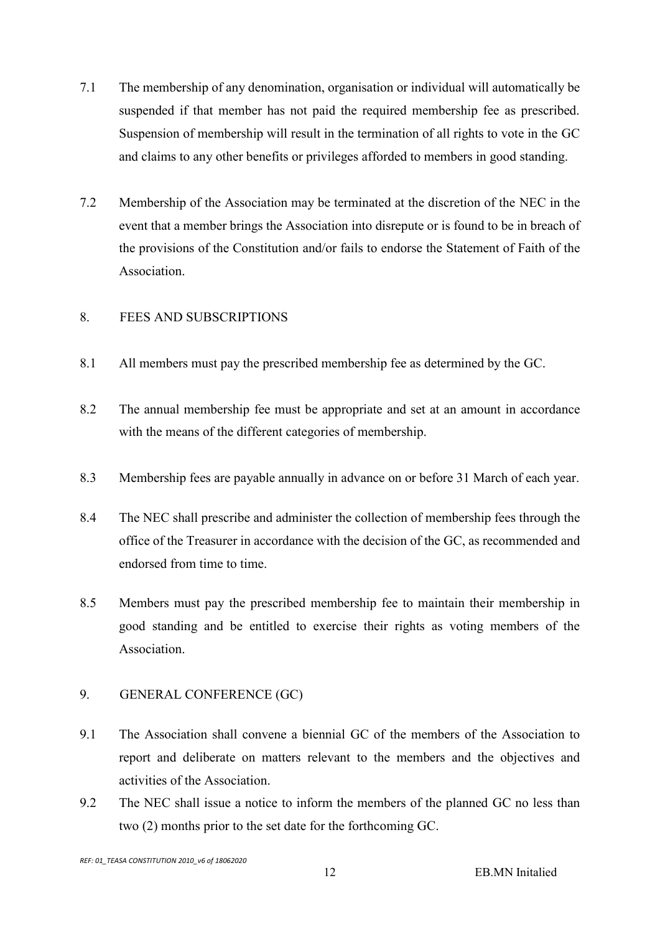- 7.1 The membership of any denomination, organisation or individual will automatically be suspended if that member has not paid the required membership fee as prescribed. Suspension of membership will result in the termination of all rights to vote in the GC and claims to any other benefits or privileges afforded to members in good standing.
- 7.2 Membership of the Association may be terminated at the discretion of the NEC in the event that a member brings the Association into disrepute or is found to be in breach of the provisions of the Constitution and/or fails to endorse the Statement of Faith of the Association.

## 8. FEES AND SUBSCRIPTIONS

- 8.1 All members must pay the prescribed membership fee as determined by the GC.
- 8.2 The annual membership fee must be appropriate and set at an amount in accordance with the means of the different categories of membership.
- 8.3 Membership fees are payable annually in advance on or before 31 March of each year.
- 8.4 The NEC shall prescribe and administer the collection of membership fees through the office of the Treasurer in accordance with the decision of the GC, as recommended and endorsed from time to time.
- 8.5 Members must pay the prescribed membership fee to maintain their membership in good standing and be entitled to exercise their rights as voting members of the Association.

#### 9. GENERAL CONFERENCE (GC)

- 9.1 The Association shall convene a biennial GC of the members of the Association to report and deliberate on matters relevant to the members and the objectives and activities of the Association.
- 9.2 The NEC shall issue a notice to inform the members of the planned GC no less than two (2) months prior to the set date for the forthcoming GC.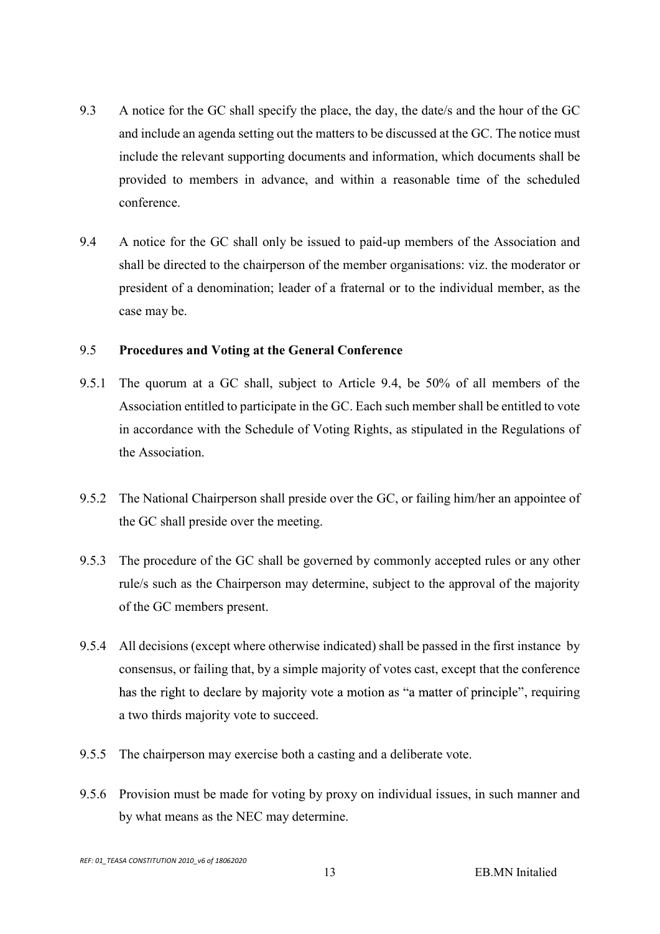- 9.3 A notice for the GC shall specify the place, the day, the date/s and the hour of the GC and include an agenda setting out the matters to be discussed at the GC. The notice must include the relevant supporting documents and information, which documents shall be provided to members in advance, and within a reasonable time of the scheduled conference.
- 9.4 A notice for the GC shall only be issued to paid-up members of the Association and shall be directed to the chairperson of the member organisations: viz. the moderator or president of a denomination; leader of a fraternal or to the individual member, as the case may be.

#### 9.5 Procedures and Voting at the General Conference

- 9.5.1 The quorum at a GC shall, subject to Article 9.4, be 50% of all members of the Association entitled to participate in the GC. Each such member shall be entitled to vote in accordance with the Schedule of Voting Rights, as stipulated in the Regulations of the Association.
- 9.5.2 The National Chairperson shall preside over the GC, or failing him/her an appointee of the GC shall preside over the meeting.
- 9.5.3 The procedure of the GC shall be governed by commonly accepted rules or any other rule/s such as the Chairperson may determine, subject to the approval of the majority of the GC members present.
- 9.5.4 All decisions (except where otherwise indicated) shall be passed in the first instance by consensus, or failing that, by a simple majority of votes cast, except that the conference has the right to declare by majority vote a motion as "a matter of principle", requiring a two thirds majority vote to succeed.
- 9.5.5 The chairperson may exercise both a casting and a deliberate vote.
- 9.5.6 Provision must be made for voting by proxy on individual issues, in such manner and by what means as the NEC may determine.

REF: 01\_TEASA CONSTITUTION 2010\_v6 of 18062020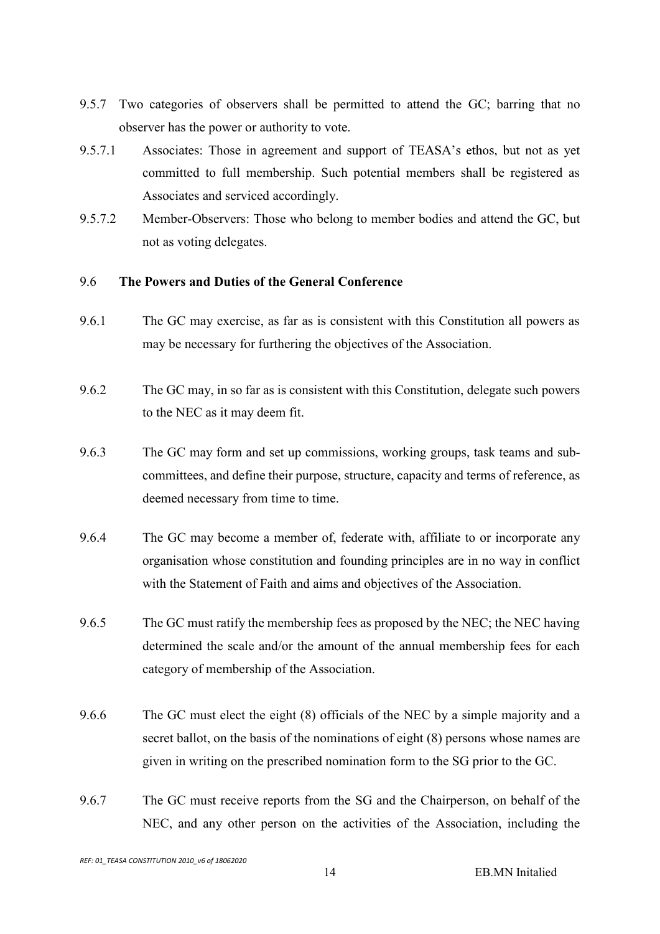- 9.5.7 Two categories of observers shall be permitted to attend the GC; barring that no observer has the power or authority to vote.
- 9.5.7.1 Associates: Those in agreement and support of TEASA's ethos, but not as yet committed to full membership. Such potential members shall be registered as Associates and serviced accordingly.
- 9.5.7.2 Member-Observers: Those who belong to member bodies and attend the GC, but not as voting delegates.

#### 9.6 The Powers and Duties of the General Conference

- 9.6.1 The GC may exercise, as far as is consistent with this Constitution all powers as may be necessary for furthering the objectives of the Association.
- 9.6.2 The GC may, in so far as is consistent with this Constitution, delegate such powers to the NEC as it may deem fit.
- 9.6.3 The GC may form and set up commissions, working groups, task teams and subcommittees, and define their purpose, structure, capacity and terms of reference, as deemed necessary from time to time.
- 9.6.4 The GC may become a member of, federate with, affiliate to or incorporate any organisation whose constitution and founding principles are in no way in conflict with the Statement of Faith and aims and objectives of the Association.
- 9.6.5 The GC must ratify the membership fees as proposed by the NEC; the NEC having determined the scale and/or the amount of the annual membership fees for each category of membership of the Association.
- 9.6.6 The GC must elect the eight (8) officials of the NEC by a simple majority and a secret ballot, on the basis of the nominations of eight (8) persons whose names are given in writing on the prescribed nomination form to the SG prior to the GC.
- 9.6.7 The GC must receive reports from the SG and the Chairperson, on behalf of the NEC, and any other person on the activities of the Association, including the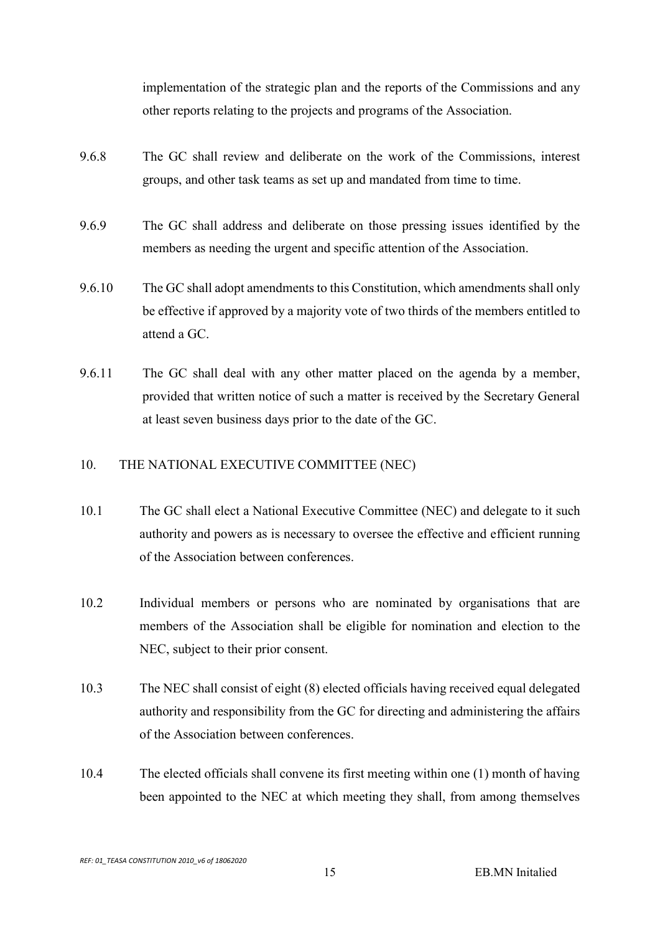implementation of the strategic plan and the reports of the Commissions and any other reports relating to the projects and programs of the Association.

- 9.6.8 The GC shall review and deliberate on the work of the Commissions, interest groups, and other task teams as set up and mandated from time to time.
- 9.6.9 The GC shall address and deliberate on those pressing issues identified by the members as needing the urgent and specific attention of the Association.
- 9.6.10 The GC shall adopt amendments to this Constitution, which amendments shall only be effective if approved by a majority vote of two thirds of the members entitled to attend a GC.
- 9.6.11 The GC shall deal with any other matter placed on the agenda by a member, provided that written notice of such a matter is received by the Secretary General at least seven business days prior to the date of the GC.

#### 10. THE NATIONAL EXECUTIVE COMMITTEE (NEC)

- 10.1 The GC shall elect a National Executive Committee (NEC) and delegate to it such authority and powers as is necessary to oversee the effective and efficient running of the Association between conferences.
- 10.2 Individual members or persons who are nominated by organisations that are members of the Association shall be eligible for nomination and election to the NEC, subject to their prior consent.
- 10.3 The NEC shall consist of eight (8) elected officials having received equal delegated authority and responsibility from the GC for directing and administering the affairs of the Association between conferences.
- 10.4 The elected officials shall convene its first meeting within one (1) month of having been appointed to the NEC at which meeting they shall, from among themselves

REF: 01\_TEASA CONSTITUTION 2010\_v6 of 18062020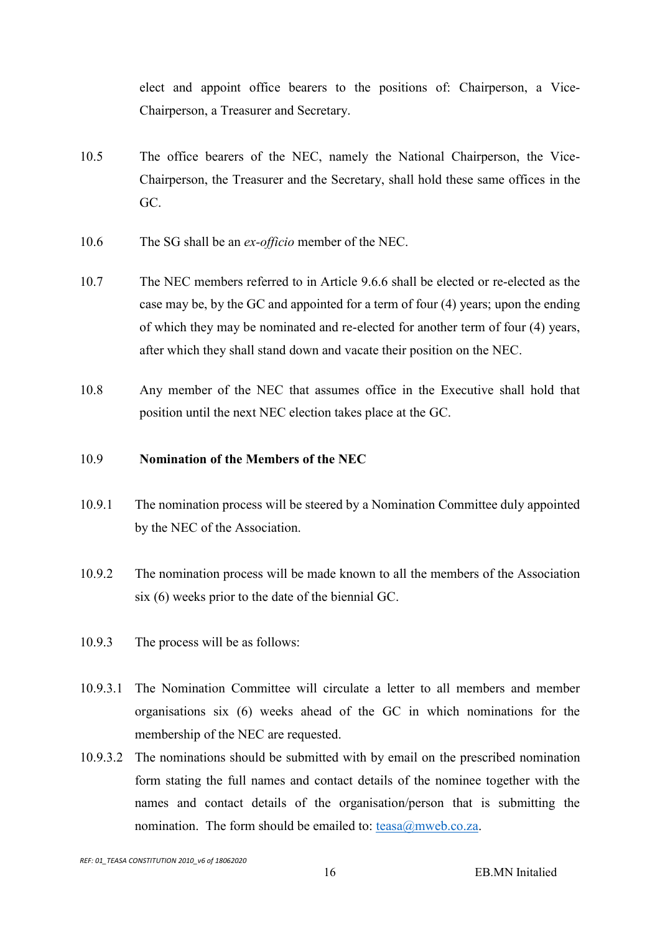elect and appoint office bearers to the positions of: Chairperson, a Vice-Chairperson, a Treasurer and Secretary.

- 10.5 The office bearers of the NEC, namely the National Chairperson, the Vice-Chairperson, the Treasurer and the Secretary, shall hold these same offices in the GC.
- 10.6 The SG shall be an *ex-officio* member of the NEC.
- 10.7 The NEC members referred to in Article 9.6.6 shall be elected or re-elected as the case may be, by the GC and appointed for a term of four (4) years; upon the ending of which they may be nominated and re-elected for another term of four (4) years, after which they shall stand down and vacate their position on the NEC.
- 10.8 Any member of the NEC that assumes office in the Executive shall hold that position until the next NEC election takes place at the GC.

#### 10.9 Nomination of the Members of the NEC

- 10.9.1 The nomination process will be steered by a Nomination Committee duly appointed by the NEC of the Association.
- 10.9.2 The nomination process will be made known to all the members of the Association six (6) weeks prior to the date of the biennial GC.
- 10.9.3 The process will be as follows:
- 10.9.3.1 The Nomination Committee will circulate a letter to all members and member organisations six (6) weeks ahead of the GC in which nominations for the membership of the NEC are requested.
- 10.9.3.2 The nominations should be submitted with by email on the prescribed nomination form stating the full names and contact details of the nominee together with the names and contact details of the organisation/person that is submitting the nomination. The form should be emailed to:  $t$ easa $@$ mweb.co.za.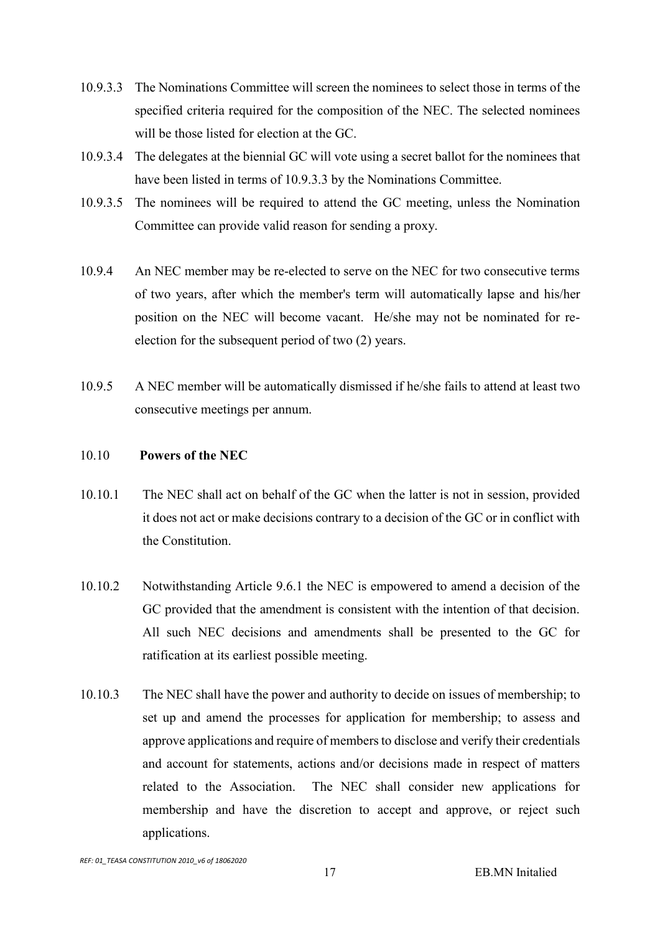- 10.9.3.3 The Nominations Committee will screen the nominees to select those in terms of the specified criteria required for the composition of the NEC. The selected nominees will be those listed for election at the GC.
- 10.9.3.4 The delegates at the biennial GC will vote using a secret ballot for the nominees that have been listed in terms of 10.9.3.3 by the Nominations Committee.
- 10.9.3.5 The nominees will be required to attend the GC meeting, unless the Nomination Committee can provide valid reason for sending a proxy.
- 10.9.4 An NEC member may be re-elected to serve on the NEC for two consecutive terms of two years, after which the member's term will automatically lapse and his/her position on the NEC will become vacant. He/she may not be nominated for reelection for the subsequent period of two (2) years.
- 10.9.5 A NEC member will be automatically dismissed if he/she fails to attend at least two consecutive meetings per annum.

#### 10.10 Powers of the NEC

- 10.10.1 The NEC shall act on behalf of the GC when the latter is not in session, provided it does not act or make decisions contrary to a decision of the GC or in conflict with the Constitution.
- 10.10.2 Notwithstanding Article 9.6.1 the NEC is empowered to amend a decision of the GC provided that the amendment is consistent with the intention of that decision. All such NEC decisions and amendments shall be presented to the GC for ratification at its earliest possible meeting.
- 10.10.3 The NEC shall have the power and authority to decide on issues of membership; to set up and amend the processes for application for membership; to assess and approve applications and require of members to disclose and verify their credentials and account for statements, actions and/or decisions made in respect of matters related to the Association. The NEC shall consider new applications for membership and have the discretion to accept and approve, or reject such applications.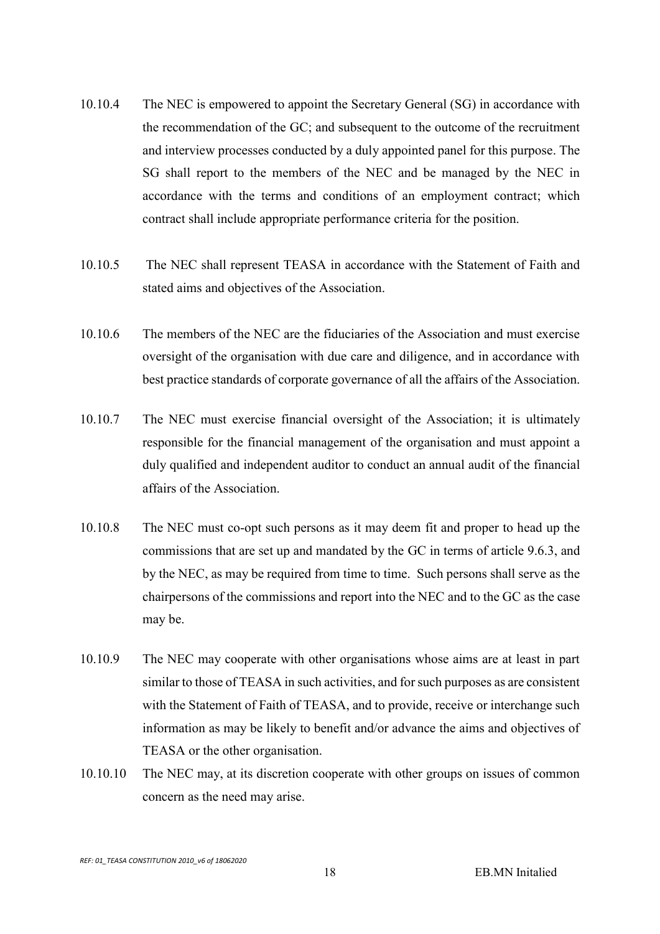- 10.10.4 The NEC is empowered to appoint the Secretary General (SG) in accordance with the recommendation of the GC; and subsequent to the outcome of the recruitment and interview processes conducted by a duly appointed panel for this purpose. The SG shall report to the members of the NEC and be managed by the NEC in accordance with the terms and conditions of an employment contract; which contract shall include appropriate performance criteria for the position.
- 10.10.5 The NEC shall represent TEASA in accordance with the Statement of Faith and stated aims and objectives of the Association.
- 10.10.6 The members of the NEC are the fiduciaries of the Association and must exercise oversight of the organisation with due care and diligence, and in accordance with best practice standards of corporate governance of all the affairs of the Association.
- 10.10.7 The NEC must exercise financial oversight of the Association; it is ultimately responsible for the financial management of the organisation and must appoint a duly qualified and independent auditor to conduct an annual audit of the financial affairs of the Association.
- 10.10.8 The NEC must co-opt such persons as it may deem fit and proper to head up the commissions that are set up and mandated by the GC in terms of article 9.6.3, and by the NEC, as may be required from time to time. Such persons shall serve as the chairpersons of the commissions and report into the NEC and to the GC as the case may be.
- 10.10.9 The NEC may cooperate with other organisations whose aims are at least in part similar to those of TEASA in such activities, and for such purposes as are consistent with the Statement of Faith of TEASA, and to provide, receive or interchange such information as may be likely to benefit and/or advance the aims and objectives of TEASA or the other organisation.
- 10.10.10 The NEC may, at its discretion cooperate with other groups on issues of common concern as the need may arise.

REF: 01\_TEASA CONSTITUTION 2010\_v6 of 18062020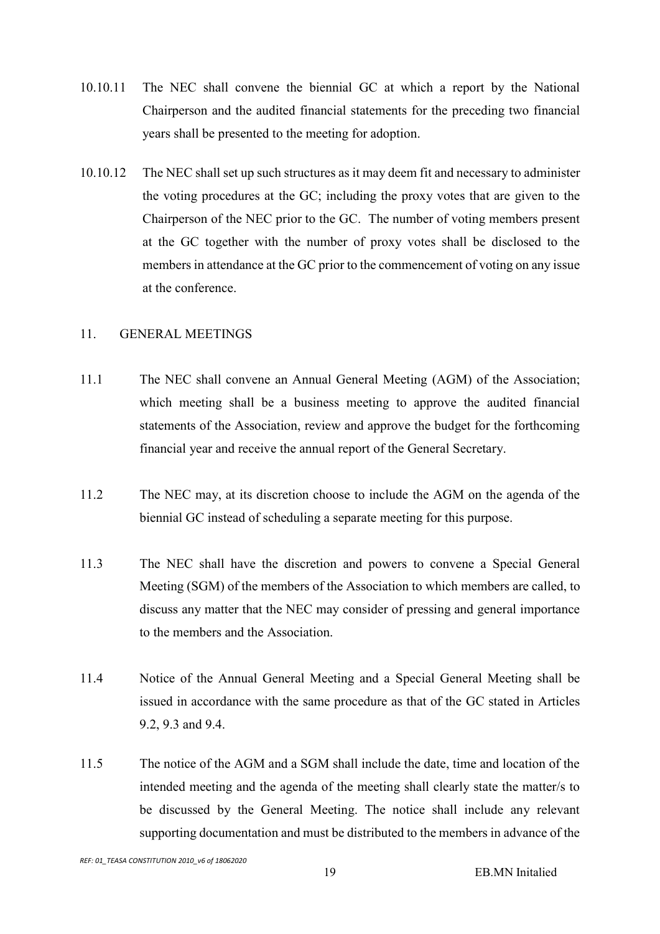- 10.10.11 The NEC shall convene the biennial GC at which a report by the National Chairperson and the audited financial statements for the preceding two financial years shall be presented to the meeting for adoption.
- 10.10.12 The NEC shall set up such structures as it may deem fit and necessary to administer the voting procedures at the GC; including the proxy votes that are given to the Chairperson of the NEC prior to the GC. The number of voting members present at the GC together with the number of proxy votes shall be disclosed to the members in attendance at the GC prior to the commencement of voting on any issue at the conference.

#### 11. GENERAL MEETINGS

- 11.1 The NEC shall convene an Annual General Meeting (AGM) of the Association; which meeting shall be a business meeting to approve the audited financial statements of the Association, review and approve the budget for the forthcoming financial year and receive the annual report of the General Secretary.
- 11.2 The NEC may, at its discretion choose to include the AGM on the agenda of the biennial GC instead of scheduling a separate meeting for this purpose.
- 11.3 The NEC shall have the discretion and powers to convene a Special General Meeting (SGM) of the members of the Association to which members are called, to discuss any matter that the NEC may consider of pressing and general importance to the members and the Association.
- 11.4 Notice of the Annual General Meeting and a Special General Meeting shall be issued in accordance with the same procedure as that of the GC stated in Articles 9.2, 9.3 and 9.4.
- 11.5 The notice of the AGM and a SGM shall include the date, time and location of the intended meeting and the agenda of the meeting shall clearly state the matter/s to be discussed by the General Meeting. The notice shall include any relevant supporting documentation and must be distributed to the members in advance of the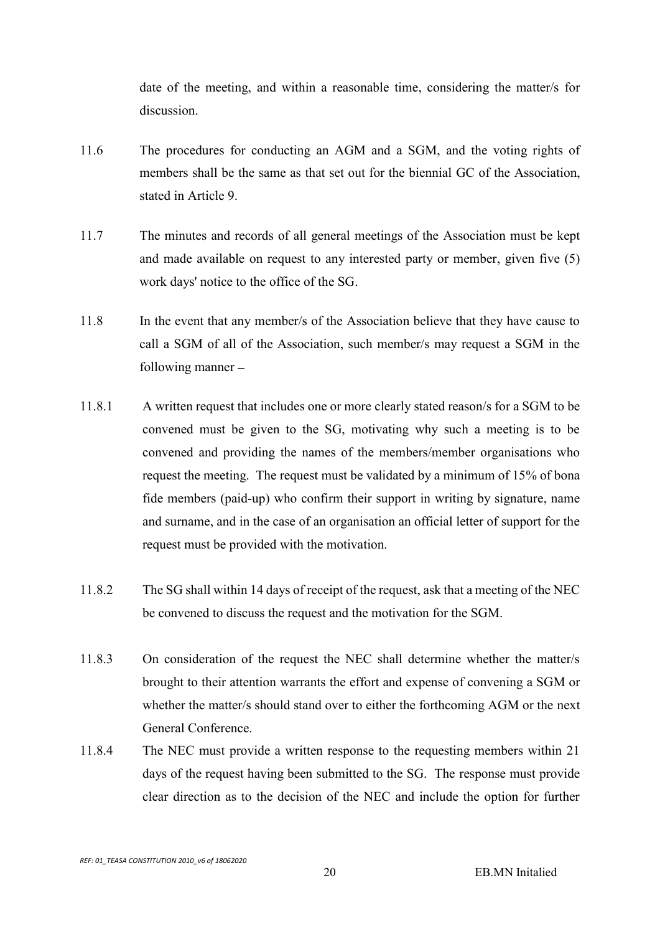date of the meeting, and within a reasonable time, considering the matter/s for discussion.

- 11.6 The procedures for conducting an AGM and a SGM, and the voting rights of members shall be the same as that set out for the biennial GC of the Association, stated in Article 9.
- 11.7 The minutes and records of all general meetings of the Association must be kept and made available on request to any interested party or member, given five (5) work days' notice to the office of the SG.
- 11.8 In the event that any member/s of the Association believe that they have cause to call a SGM of all of the Association, such member/s may request a SGM in the following manner
- 11.8.1 A written request that includes one or more clearly stated reason/s for a SGM to be convened must be given to the SG, motivating why such a meeting is to be convened and providing the names of the members/member organisations who request the meeting. The request must be validated by a minimum of 15% of bona fide members (paid-up) who confirm their support in writing by signature, name and surname, and in the case of an organisation an official letter of support for the request must be provided with the motivation.
- 11.8.2 The SG shall within 14 days of receipt of the request, ask that a meeting of the NEC be convened to discuss the request and the motivation for the SGM.
- 11.8.3 On consideration of the request the NEC shall determine whether the matter/s brought to their attention warrants the effort and expense of convening a SGM or whether the matter/s should stand over to either the forthcoming AGM or the next General Conference.
- 11.8.4 The NEC must provide a written response to the requesting members within 21 days of the request having been submitted to the SG. The response must provide clear direction as to the decision of the NEC and include the option for further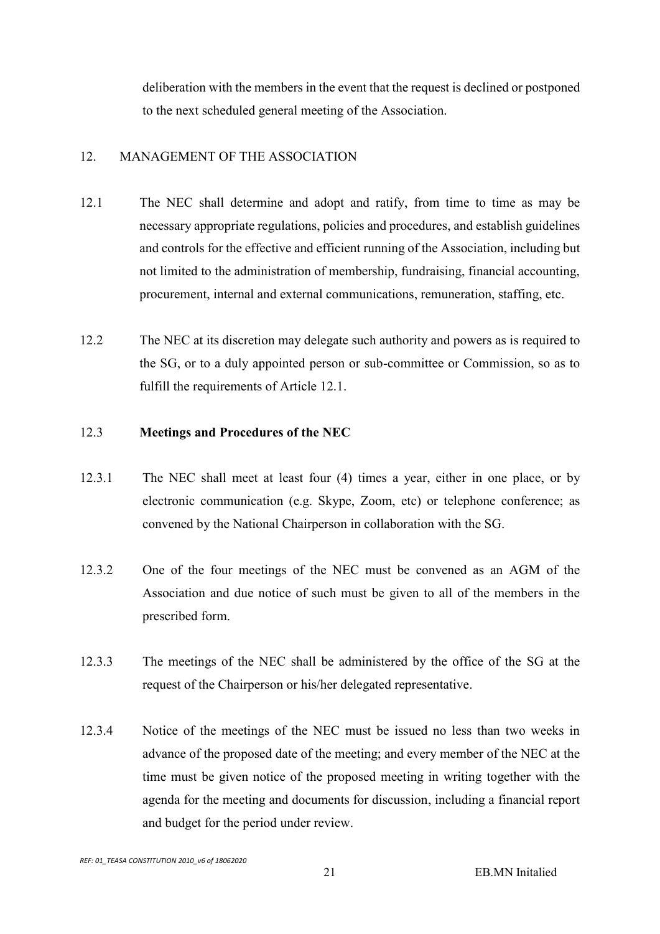deliberation with the members in the event that the request is declined or postponed to the next scheduled general meeting of the Association.

# 12. MANAGEMENT OF THE ASSOCIATION

- 12.1 The NEC shall determine and adopt and ratify, from time to time as may be necessary appropriate regulations, policies and procedures, and establish guidelines and controls for the effective and efficient running of the Association, including but not limited to the administration of membership, fundraising, financial accounting, procurement, internal and external communications, remuneration, staffing, etc.
- 12.2 The NEC at its discretion may delegate such authority and powers as is required to the SG, or to a duly appointed person or sub-committee or Commission, so as to fulfill the requirements of Article 12.1.

#### 12.3 Meetings and Procedures of the NEC

- 12.3.1 The NEC shall meet at least four (4) times a year, either in one place, or by electronic communication (e.g. Skype, Zoom, etc) or telephone conference; as convened by the National Chairperson in collaboration with the SG.
- 12.3.2 One of the four meetings of the NEC must be convened as an AGM of the Association and due notice of such must be given to all of the members in the prescribed form.
- 12.3.3 The meetings of the NEC shall be administered by the office of the SG at the request of the Chairperson or his/her delegated representative.
- 12.3.4 Notice of the meetings of the NEC must be issued no less than two weeks in advance of the proposed date of the meeting; and every member of the NEC at the time must be given notice of the proposed meeting in writing together with the agenda for the meeting and documents for discussion, including a financial report and budget for the period under review.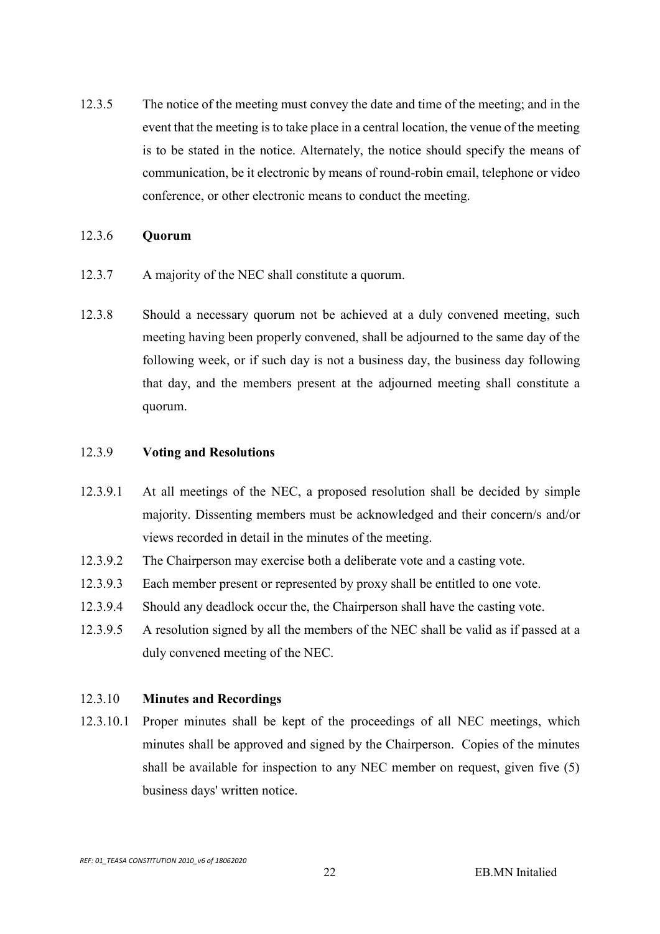12.3.5 The notice of the meeting must convey the date and time of the meeting; and in the event that the meeting is to take place in a central location, the venue of the meeting is to be stated in the notice. Alternately, the notice should specify the means of communication, be it electronic by means of round-robin email, telephone or video conference, or other electronic means to conduct the meeting.

#### 12.3.6 Quorum

- 12.3.7 A majority of the NEC shall constitute a quorum.
- 12.3.8 Should a necessary quorum not be achieved at a duly convened meeting, such meeting having been properly convened, shall be adjourned to the same day of the following week, or if such day is not a business day, the business day following that day, and the members present at the adjourned meeting shall constitute a quorum.

#### 12.3.9 Voting and Resolutions

- 12.3.9.1 At all meetings of the NEC, a proposed resolution shall be decided by simple majority. Dissenting members must be acknowledged and their concern/s and/or views recorded in detail in the minutes of the meeting.
- 12.3.9.2 The Chairperson may exercise both a deliberate vote and a casting vote.
- 12.3.9.3 Each member present or represented by proxy shall be entitled to one vote.
- 12.3.9.4 Should any deadlock occur the, the Chairperson shall have the casting vote.
- 12.3.9.5 A resolution signed by all the members of the NEC shall be valid as if passed at a duly convened meeting of the NEC.

#### 12.3.10 Minutes and Recordings

12.3.10.1 Proper minutes shall be kept of the proceedings of all NEC meetings, which minutes shall be approved and signed by the Chairperson. Copies of the minutes shall be available for inspection to any NEC member on request, given five (5) business days' written notice.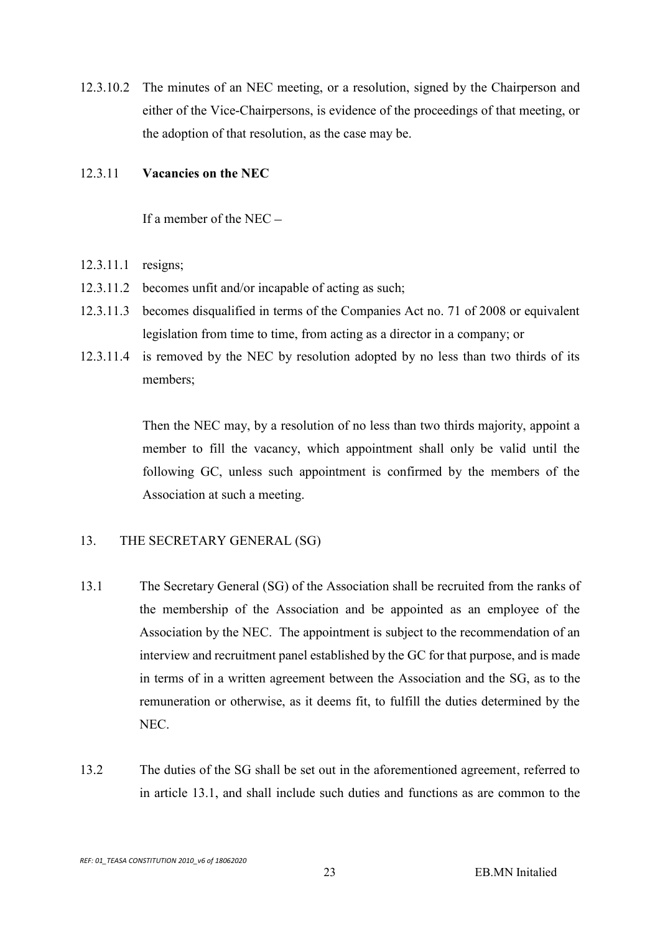12.3.10.2 The minutes of an NEC meeting, or a resolution, signed by the Chairperson and either of the Vice-Chairpersons, is evidence of the proceedings of that meeting, or the adoption of that resolution, as the case may be.

#### 12.3.11 Vacancies on the NEC

If a member of the NEC

- 12.3.11.1 resigns;
- 12.3.11.2 becomes unfit and/or incapable of acting as such;
- 12.3.11.3 becomes disqualified in terms of the Companies Act no. 71 of 2008 or equivalent legislation from time to time, from acting as a director in a company; or
- 12.3.11.4 is removed by the NEC by resolution adopted by no less than two thirds of its members;

Then the NEC may, by a resolution of no less than two thirds majority, appoint a member to fill the vacancy, which appointment shall only be valid until the following GC, unless such appointment is confirmed by the members of the Association at such a meeting.

#### 13. THE SECRETARY GENERAL (SG)

- 13.1 The Secretary General (SG) of the Association shall be recruited from the ranks of the membership of the Association and be appointed as an employee of the Association by the NEC. The appointment is subject to the recommendation of an interview and recruitment panel established by the GC for that purpose, and is made in terms of in a written agreement between the Association and the SG, as to the remuneration or otherwise, as it deems fit, to fulfill the duties determined by the NEC.
- 13.2 The duties of the SG shall be set out in the aforementioned agreement, referred to in article 13.1, and shall include such duties and functions as are common to the

REF: 01\_TEASA CONSTITUTION 2010\_v6 of 18062020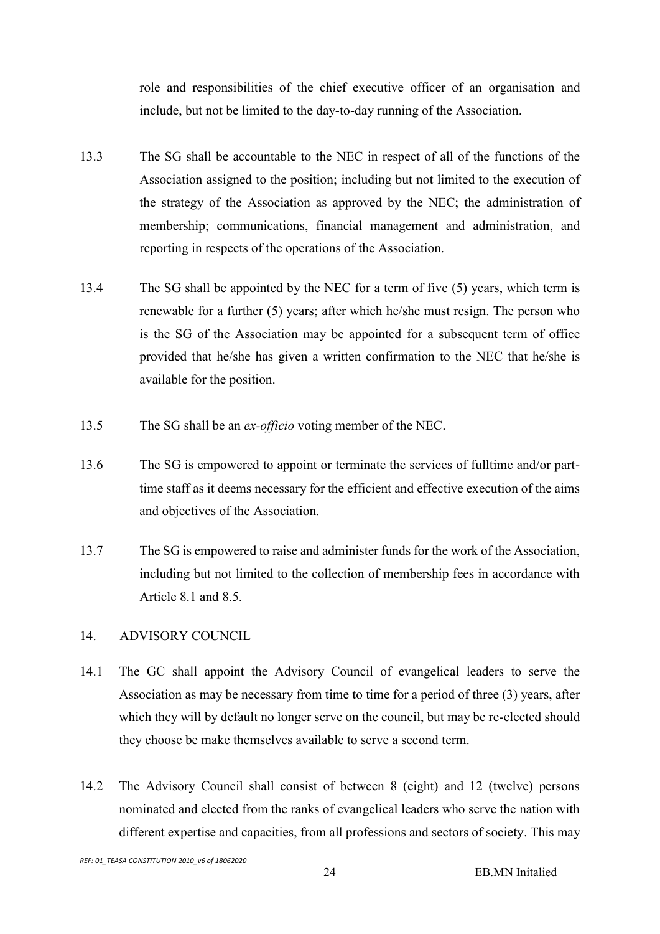role and responsibilities of the chief executive officer of an organisation and include, but not be limited to the day-to-day running of the Association.

- 13.3 The SG shall be accountable to the NEC in respect of all of the functions of the Association assigned to the position; including but not limited to the execution of the strategy of the Association as approved by the NEC; the administration of membership; communications, financial management and administration, and reporting in respects of the operations of the Association.
- 13.4 The SG shall be appointed by the NEC for a term of five (5) years, which term is renewable for a further (5) years; after which he/she must resign. The person who is the SG of the Association may be appointed for a subsequent term of office provided that he/she has given a written confirmation to the NEC that he/she is available for the position.
- 13.5 The SG shall be an ex-officio voting member of the NEC.
- 13.6 The SG is empowered to appoint or terminate the services of fulltime and/or parttime staff as it deems necessary for the efficient and effective execution of the aims and objectives of the Association.
- 13.7 The SG is empowered to raise and administer funds for the work of the Association, including but not limited to the collection of membership fees in accordance with Article 8.1 and 8.5.

# 14. ADVISORY COUNCIL

- 14.1 The GC shall appoint the Advisory Council of evangelical leaders to serve the Association as may be necessary from time to time for a period of three (3) years, after which they will by default no longer serve on the council, but may be re-elected should they choose be make themselves available to serve a second term.
- 14.2 The Advisory Council shall consist of between 8 (eight) and 12 (twelve) persons nominated and elected from the ranks of evangelical leaders who serve the nation with different expertise and capacities, from all professions and sectors of society. This may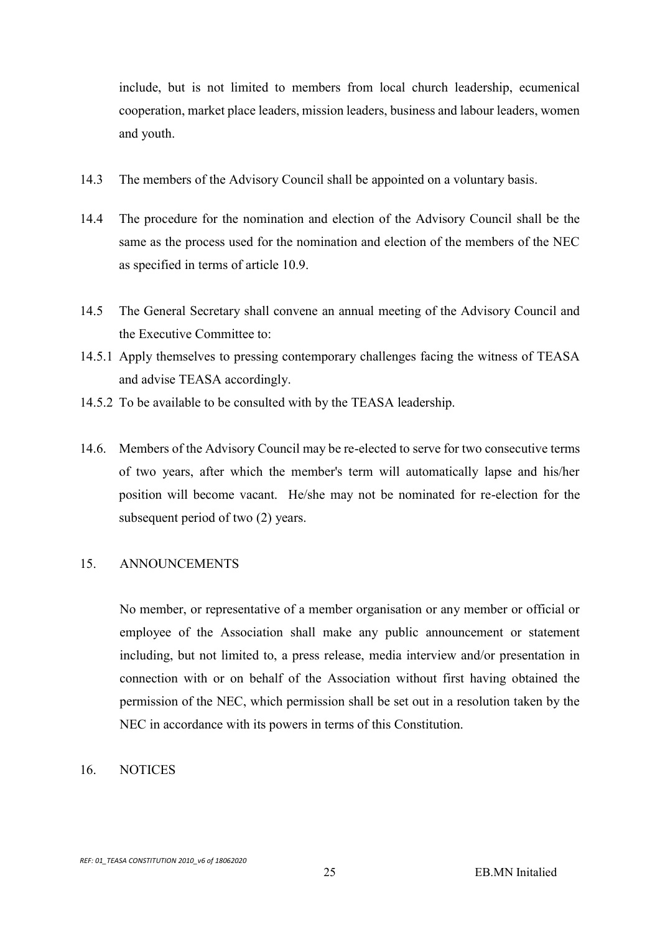include, but is not limited to members from local church leadership, ecumenical cooperation, market place leaders, mission leaders, business and labour leaders, women and youth.

- 14.3 The members of the Advisory Council shall be appointed on a voluntary basis.
- 14.4 The procedure for the nomination and election of the Advisory Council shall be the same as the process used for the nomination and election of the members of the NEC as specified in terms of article 10.9.
- 14.5 The General Secretary shall convene an annual meeting of the Advisory Council and the Executive Committee to:
- 14.5.1 Apply themselves to pressing contemporary challenges facing the witness of TEASA and advise TEASA accordingly.
- 14.5.2 To be available to be consulted with by the TEASA leadership.
- 14.6. Members of the Advisory Council may be re-elected to serve for two consecutive terms of two years, after which the member's term will automatically lapse and his/her position will become vacant. He/she may not be nominated for re-election for the subsequent period of two (2) years.

#### 15. ANNOUNCEMENTS

No member, or representative of a member organisation or any member or official or employee of the Association shall make any public announcement or statement including, but not limited to, a press release, media interview and/or presentation in connection with or on behalf of the Association without first having obtained the permission of the NEC, which permission shall be set out in a resolution taken by the NEC in accordance with its powers in terms of this Constitution.

#### 16. NOTICES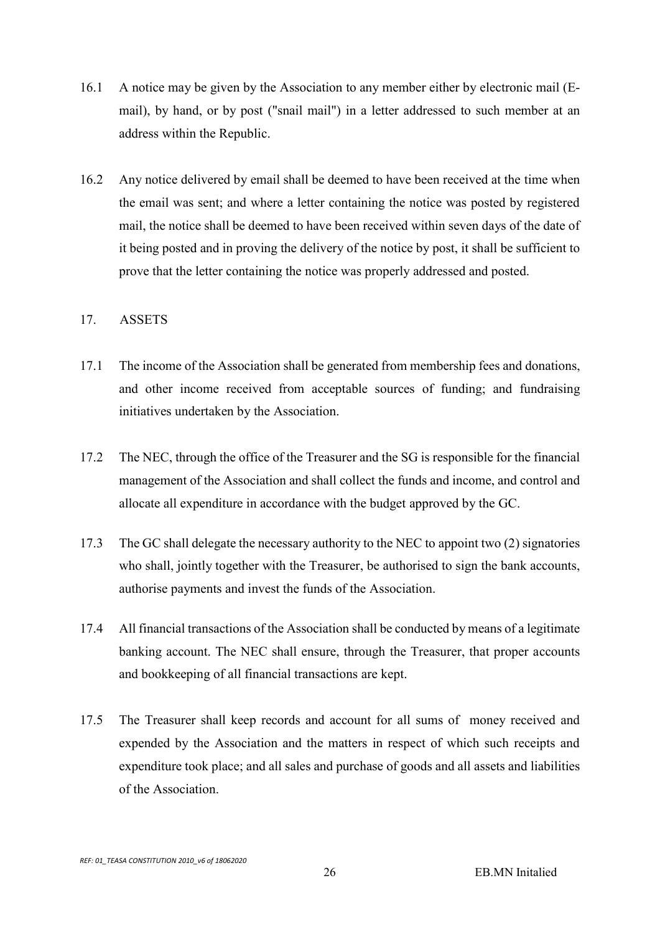- 16.1 A notice may be given by the Association to any member either by electronic mail (Email), by hand, or by post ("snail mail") in a letter addressed to such member at an address within the Republic.
- 16.2 Any notice delivered by email shall be deemed to have been received at the time when the email was sent; and where a letter containing the notice was posted by registered mail, the notice shall be deemed to have been received within seven days of the date of it being posted and in proving the delivery of the notice by post, it shall be sufficient to prove that the letter containing the notice was properly addressed and posted.

#### 17. ASSETS

- 17.1 The income of the Association shall be generated from membership fees and donations, and other income received from acceptable sources of funding; and fundraising initiatives undertaken by the Association.
- 17.2 The NEC, through the office of the Treasurer and the SG is responsible for the financial management of the Association and shall collect the funds and income, and control and allocate all expenditure in accordance with the budget approved by the GC.
- 17.3 The GC shall delegate the necessary authority to the NEC to appoint two (2) signatories who shall, jointly together with the Treasurer, be authorised to sign the bank accounts, authorise payments and invest the funds of the Association.
- 17.4 All financial transactions of the Association shall be conducted by means of a legitimate banking account. The NEC shall ensure, through the Treasurer, that proper accounts and bookkeeping of all financial transactions are kept.
- 17.5 The Treasurer shall keep records and account for all sums of money received and expended by the Association and the matters in respect of which such receipts and expenditure took place; and all sales and purchase of goods and all assets and liabilities of the Association.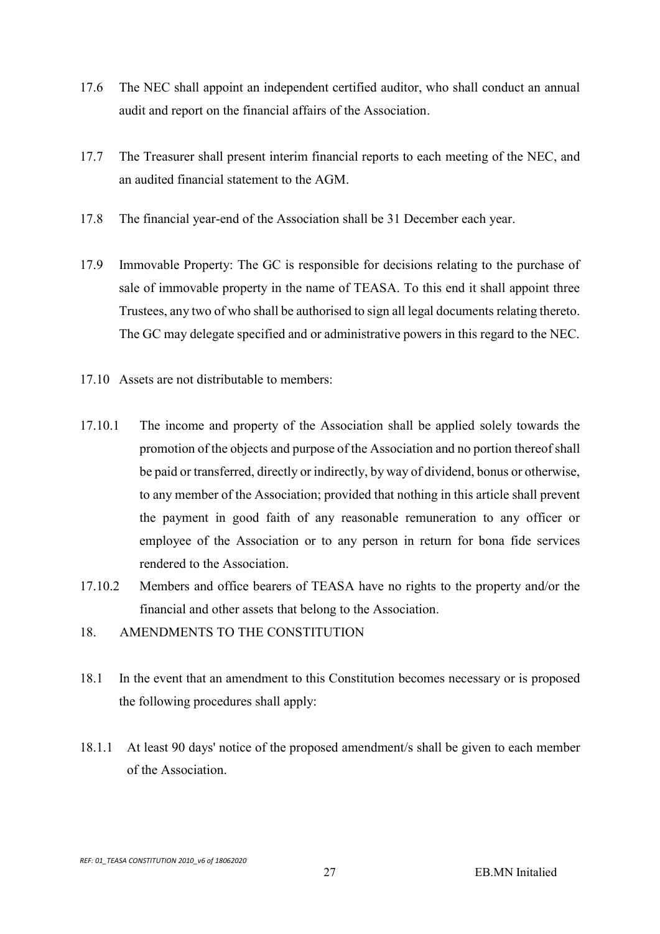- 17.6 The NEC shall appoint an independent certified auditor, who shall conduct an annual audit and report on the financial affairs of the Association.
- 17.7 The Treasurer shall present interim financial reports to each meeting of the NEC, and an audited financial statement to the AGM.
- 17.8 The financial year-end of the Association shall be 31 December each year.
- 17.9 Immovable Property: The GC is responsible for decisions relating to the purchase of sale of immovable property in the name of TEASA. To this end it shall appoint three Trustees, any two of who shall be authorised to sign all legal documents relating thereto. The GC may delegate specified and or administrative powers in this regard to the NEC.
- 17.10 Assets are not distributable to members:
- 17.10.1 The income and property of the Association shall be applied solely towards the promotion of the objects and purpose of the Association and no portion thereof shall be paid or transferred, directly or indirectly, by way of dividend, bonus or otherwise, to any member of the Association; provided that nothing in this article shall prevent the payment in good faith of any reasonable remuneration to any officer or employee of the Association or to any person in return for bona fide services rendered to the Association.
- 17.10.2 Members and office bearers of TEASA have no rights to the property and/or the financial and other assets that belong to the Association.
- 18. AMENDMENTS TO THE CONSTITUTION
- 18.1 In the event that an amendment to this Constitution becomes necessary or is proposed the following procedures shall apply:
- 18.1.1 At least 90 days' notice of the proposed amendment/s shall be given to each member of the Association.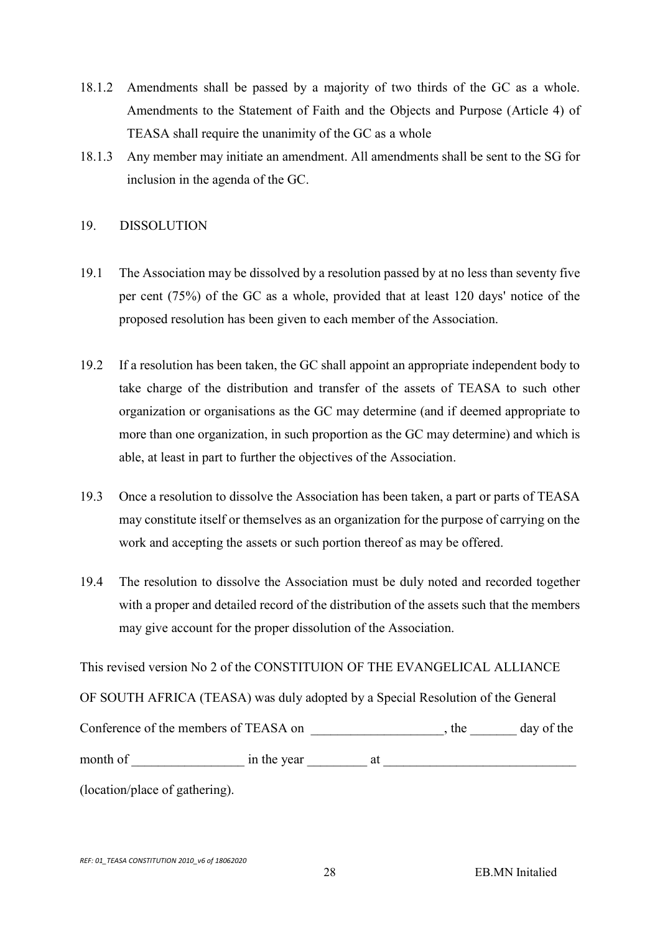- 18.1.2 Amendments shall be passed by a majority of two thirds of the GC as a whole. Amendments to the Statement of Faith and the Objects and Purpose (Article 4) of TEASA shall require the unanimity of the GC as a whole
- 18.1.3 Any member may initiate an amendment. All amendments shall be sent to the SG for inclusion in the agenda of the GC.

#### 19. DISSOLUTION

- 19.1 The Association may be dissolved by a resolution passed by at no less than seventy five per cent (75%) of the GC as a whole, provided that at least 120 days' notice of the proposed resolution has been given to each member of the Association.
- 19.2 If a resolution has been taken, the GC shall appoint an appropriate independent body to take charge of the distribution and transfer of the assets of TEASA to such other organization or organisations as the GC may determine (and if deemed appropriate to more than one organization, in such proportion as the GC may determine) and which is able, at least in part to further the objectives of the Association.
- 19.3 Once a resolution to dissolve the Association has been taken, a part or parts of TEASA may constitute itself or themselves as an organization for the purpose of carrying on the work and accepting the assets or such portion thereof as may be offered.
- 19.4 The resolution to dissolve the Association must be duly noted and recorded together with a proper and detailed record of the distribution of the assets such that the members may give account for the proper dissolution of the Association.

This revised version No 2 of the CONSTITUION OF THE EVANGELICAL ALLIANCE OF SOUTH AFRICA (TEASA) was duly adopted by a Special Resolution of the General Conference of the members of TEASA on \_\_\_\_\_\_\_\_\_\_\_\_\_\_\_\_\_\_\_, the \_\_\_\_\_\_\_ day of the month of contract in the year at  $\frac{1}{2}$  at  $\frac{1}{2}$ 

(location/place of gathering).